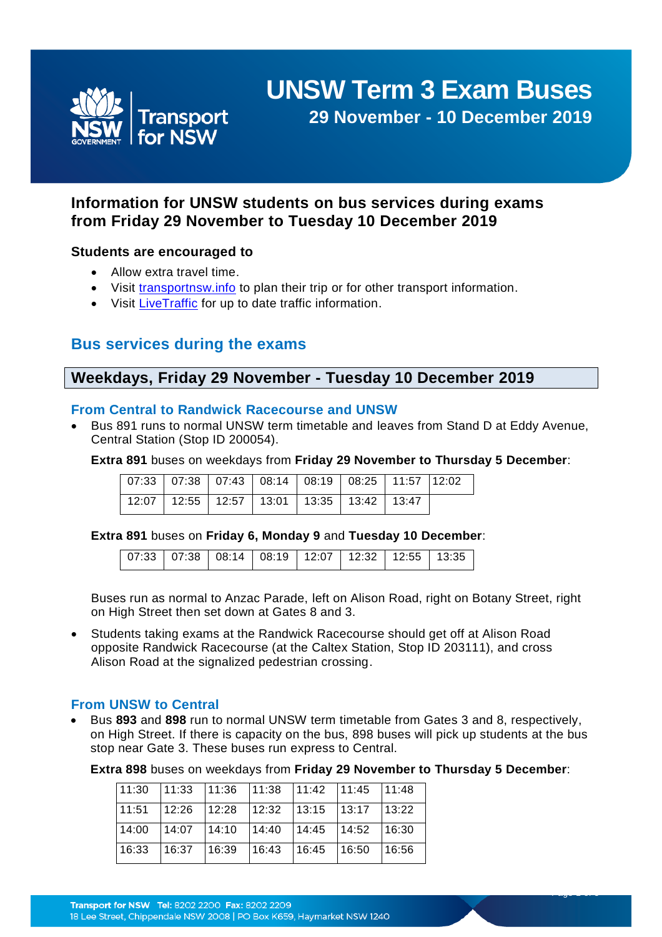

# **UNSW Term 3 Exam Buses**

**29 November - 10 December 2019**

# **Information for UNSW students on bus services during exams from Friday 29 November to Tuesday 10 December 2019**

## **Students are encouraged to**

- Allow extra travel time.
- Visit [transportnsw.info](https://transportnsw.info/#/) to plan their trip or for other transport information.
- Visit [LiveTraffic](https://www.livetraffic.com/desktop.html) for up to date traffic information.

# **Bus services during the exams**

# **Weekdays, Friday 29 November - Tuesday 10 December 2019**

## **From Central to Randwick Racecourse and UNSW**

 Bus 891 runs to normal UNSW term timetable and leaves from Stand D at Eddy Avenue, Central Station (Stop ID 200054).

**Extra 891** buses on weekdays from **Friday 29 November to Thursday 5 December**:

| 07:33   07:38   07:43   08:14   08:19   08:25   11:57   12:02 |  |  |  |  |
|---------------------------------------------------------------|--|--|--|--|
| $\sqrt{12:07}$ 12:55   12:57   13:01   13:35   13:42   13:47  |  |  |  |  |

**Extra 891** buses on **Friday 6, Monday 9** and **Tuesday 10 December**:

| 07:33   07:38   08:14   08:19   12:07   12:32   12:55   13:35 |  |  |  |  |  |  |
|---------------------------------------------------------------|--|--|--|--|--|--|
|---------------------------------------------------------------|--|--|--|--|--|--|

Buses run as normal to Anzac Parade, left on Alison Road, right on Botany Street, right on High Street then set down at Gates 8 and 3.

 Students taking exams at the Randwick Racecourse should get off at Alison Road opposite Randwick Racecourse (at the Caltex Station, Stop ID 203111), and cross Alison Road at the signalized pedestrian crossing.

#### **From UNSW to Central**

 Bus **893** and **898** run to normal UNSW term timetable from Gates 3 and 8, respectively, on High Street. If there is capacity on the bus, 898 buses will pick up students at the bus stop near Gate 3. These buses run express to Central.

**Extra 898** buses on weekdays from **Friday 29 November to Thursday 5 December**:

Page 1 of 5

| $\vert$ 11:30 $\vert$ 11:33 $\vert$ 11:36 $\vert$ 11:38 $\vert$ 11:42 $\vert$ 11:45 $\vert$ 11:48 |                                                                           |               |       |
|---------------------------------------------------------------------------------------------------|---------------------------------------------------------------------------|---------------|-------|
| $\vert$ 11:51   12:26   12:28   12:32   13:15   13:17                                             |                                                                           |               | 13:22 |
| 14:00                                                                                             | $\vert 14.07 \vert 14.10 \vert 14.40 \vert 14.45 \vert 14.52 \vert 16.30$ |               |       |
| 16:33                                                                                             | $16:37$   16:39   16:43                                                   | $16:45$ 16:50 | 16:56 |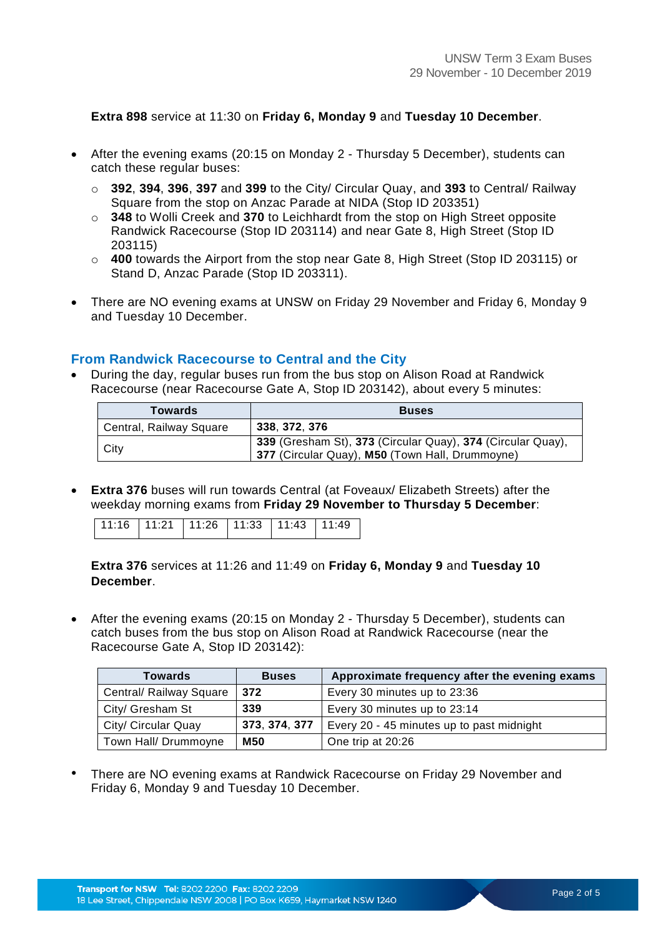**Extra 898** service at 11:30 on **Friday 6, Monday 9** and **Tuesday 10 December**.

- After the evening exams (20:15 on Monday 2 Thursday 5 December), students can catch these regular buses:
	- o **392**, **394**, **396**, **397** and **399** to the City/ Circular Quay, and **393** to Central/ Railway Square from the stop on Anzac Parade at NIDA (Stop ID 203351)
	- o **348** to Wolli Creek and **370** to Leichhardt from the stop on High Street opposite Randwick Racecourse (Stop ID 203114) and near Gate 8, High Street (Stop ID 203115)
	- o **400** towards the Airport from the stop near Gate 8, High Street (Stop ID 203115) or Stand D, Anzac Parade (Stop ID 203311).
- There are NO evening exams at UNSW on Friday 29 November and Friday 6, Monday 9 and Tuesday 10 December.

## **From Randwick Racecourse to Central and the City**

 During the day, regular buses run from the bus stop on Alison Road at Randwick Racecourse (near Racecourse Gate A, Stop ID 203142), about every 5 minutes:

| <b>Towards</b>          | <b>Buses</b>                                                                                                   |
|-------------------------|----------------------------------------------------------------------------------------------------------------|
| Central, Railway Square | 338.372.376                                                                                                    |
| City                    | 339 (Gresham St), 373 (Circular Quay), 374 (Circular Quay),<br>377 (Circular Quay), M50 (Town Hall, Drummoyne) |

 **Extra 376** buses will run towards Central (at Foveaux/ Elizabeth Streets) after the weekday morning exams from **Friday 29 November to Thursday 5 December**:

| 11:16   11:21   11:26   11:33   11:43   11:49 |  |  |  |
|-----------------------------------------------|--|--|--|
|                                               |  |  |  |

**Extra 376** services at 11:26 and 11:49 on **Friday 6, Monday 9** and **Tuesday 10 December**.

 After the evening exams (20:15 on Monday 2 - Thursday 5 December), students can catch buses from the bus stop on Alison Road at Randwick Racecourse (near the Racecourse Gate A, Stop ID 203142):

| <b>Towards</b>          | <b>Buses</b>  | Approximate frequency after the evening exams |
|-------------------------|---------------|-----------------------------------------------|
| Central/ Railway Square | 372           | Every 30 minutes up to 23:36                  |
| City/ Gresham St        | 339           | Every 30 minutes up to 23:14                  |
| City/ Circular Quay     | 373, 374, 377 | Every 20 - 45 minutes up to past midnight     |
| Town Hall/ Drummoyne    | <b>M50</b>    | One trip at 20:26                             |

• There are NO evening exams at Randwick Racecourse on Friday 29 November and Friday 6, Monday 9 and Tuesday 10 December.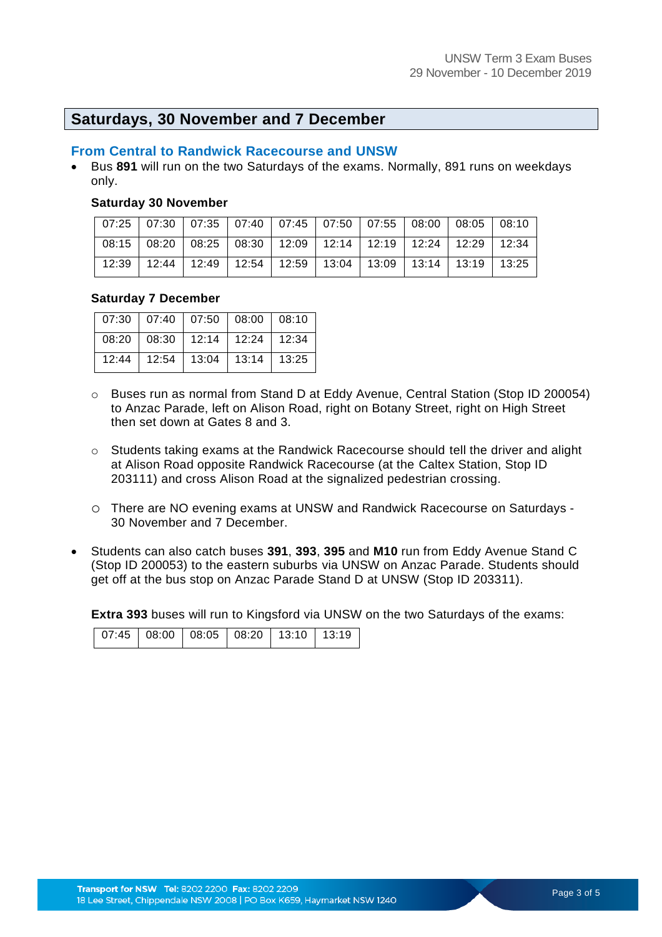## **Saturdays, 30 November and 7 December**

#### **From Central to Randwick Racecourse and UNSW**

 Bus **891** will run on the two Saturdays of the exams. Normally, 891 runs on weekdays only.

#### **Saturday 30 November**

|  |  |  | 07:25   07:30   07:35   07:40   07:45   07:50   07:55   08:00   08:05   08:10 |  |  |
|--|--|--|-------------------------------------------------------------------------------|--|--|
|  |  |  | 08:15   08:20   08:25   08:30   12:09   12:14   12:19   12:24   12:29   12:34 |  |  |
|  |  |  | 12:39   12:44   12:49   12:54   12:59   13:04   13:09   13:14   13:19   13:25 |  |  |

#### **Saturday 7 December**

|       | $07:30$   07:40   07:50   08:00   08:10 |               |  |
|-------|-----------------------------------------|---------------|--|
|       | 08:20   08:30   12:14   12:24   12:34   |               |  |
| 12:44 | $12:54$ 13:04                           | 13:14   13:25 |  |

- o Buses run as normal from Stand D at Eddy Avenue, Central Station (Stop ID 200054) to Anzac Parade, left on Alison Road, right on Botany Street, right on High Street then set down at Gates 8 and 3.
- o Students taking exams at the Randwick Racecourse should tell the driver and alight at Alison Road opposite Randwick Racecourse (at the Caltex Station, Stop ID 203111) and cross Alison Road at the signalized pedestrian crossing.
- o There are NO evening exams at UNSW and Randwick Racecourse on Saturdays 30 November and 7 December.
- Students can also catch buses **391**, **393**, **395** and **M10** run from Eddy Avenue Stand C (Stop ID 200053) to the eastern suburbs via UNSW on Anzac Parade. Students should get off at the bus stop on Anzac Parade Stand D at UNSW (Stop ID 203311).

**Extra 393** buses will run to Kingsford via UNSW on the two Saturdays of the exams:

|  |  |  | 07:45   08:00   08:05   08:20   13:10   13:19 |  |  |
|--|--|--|-----------------------------------------------|--|--|
|--|--|--|-----------------------------------------------|--|--|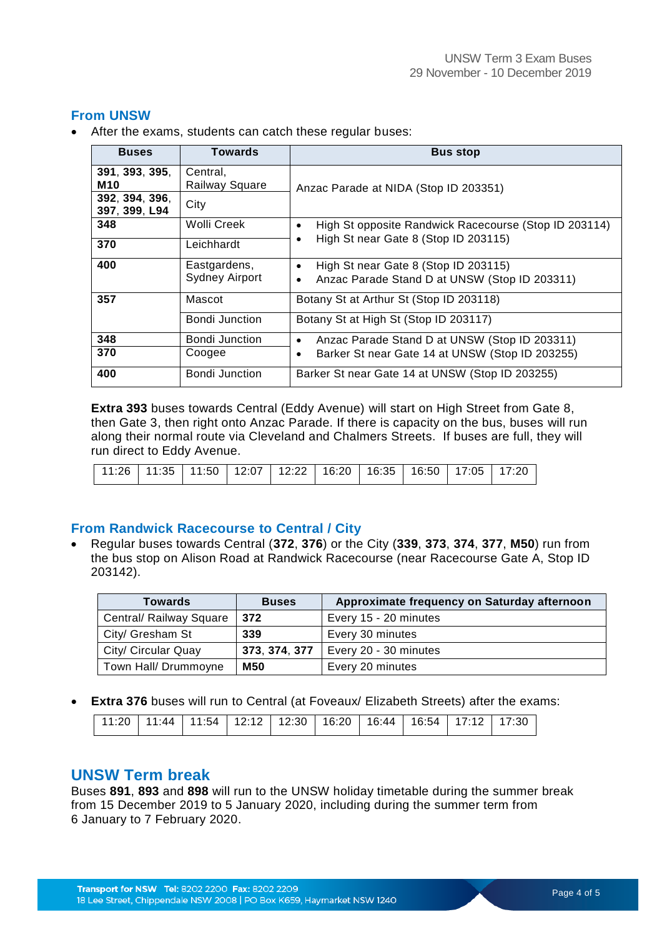## **From UNSW**

After the exams, students can catch these regular buses:

| <b>Buses</b>                    | Towards                               | <b>Bus stop</b>                                                                                                 |
|---------------------------------|---------------------------------------|-----------------------------------------------------------------------------------------------------------------|
| 391, 393, 395,<br><b>M10</b>    | Central,<br><b>Railway Square</b>     | Anzac Parade at NIDA (Stop ID 203351)                                                                           |
| 392, 394, 396,<br>397, 399, L94 | City                                  |                                                                                                                 |
| 348                             | Wolli Creek                           | High St opposite Randwick Racecourse (Stop ID 203114)<br>$\bullet$                                              |
| 370                             | Leichhardt                            | High St near Gate 8 (Stop ID 203115)<br>٠                                                                       |
| 400                             | Eastgardens,<br><b>Sydney Airport</b> | High St near Gate 8 (Stop ID 203115)<br>$\bullet$<br>Anzac Parade Stand D at UNSW (Stop ID 203311)<br>$\bullet$ |
| 357                             | Mascot                                | Botany St at Arthur St (Stop ID 203118)                                                                         |
|                                 | Bondi Junction                        | Botany St at High St (Stop ID 203117)                                                                           |
| 348                             | <b>Bondi Junction</b>                 | Anzac Parade Stand D at UNSW (Stop ID 203311)<br>$\bullet$                                                      |
| 370                             | Coogee                                | Barker St near Gate 14 at UNSW (Stop ID 203255)<br>٠                                                            |
| 400                             | Bondi Junction                        | Barker St near Gate 14 at UNSW (Stop ID 203255)                                                                 |

**Extra 393** buses towards Central (Eddy Avenue) will start on High Street from Gate 8, then Gate 3, then right onto Anzac Parade. If there is capacity on the bus, buses will run along their normal route via Cleveland and Chalmers Streets. If buses are full, they will run direct to Eddy Avenue.

|  | │ 11:26 │ 11:35 │ 11:50 │ 12:07 │ 12:22 │ 16:20 │ 16:35 │ 16:50 │ 17:05 │ 17:20 │ |  |  |  |  |  |  |  |  |
|--|-----------------------------------------------------------------------------------|--|--|--|--|--|--|--|--|
|--|-----------------------------------------------------------------------------------|--|--|--|--|--|--|--|--|

#### **From Randwick Racecourse to Central / City**

 Regular buses towards Central (**372**, **376**) or the City (**339**, **373**, **374**, **377**, **M50**) run from the bus stop on Alison Road at Randwick Racecourse (near Racecourse Gate A, Stop ID 203142).

| <b>Towards</b>          | <b>Buses</b>  | Approximate frequency on Saturday afternoon |
|-------------------------|---------------|---------------------------------------------|
| Central/ Railway Square | 372           | Every 15 - 20 minutes                       |
| City/ Gresham St        | 339           | Every 30 minutes                            |
| City/ Circular Quay     | 373, 374, 377 | Every 20 - 30 minutes                       |
| Town Hall/ Drummoyne    | <b>M50</b>    | Every 20 minutes                            |

**Extra 376** buses will run to Central (at Foveaux/ Elizabeth Streets) after the exams:

| 11:20   11:44   11:54   12:12   12:30   16:20   16:44   16:54   17:12   17:30 |  |  |  |  |  |  |
|-------------------------------------------------------------------------------|--|--|--|--|--|--|
|                                                                               |  |  |  |  |  |  |

## **UNSW Term break**

Buses **891**, **893** and **898** will run to the UNSW holiday timetable during the summer break from 15 December 2019 to 5 January 2020, including during the summer term from 6 January to 7 February 2020.